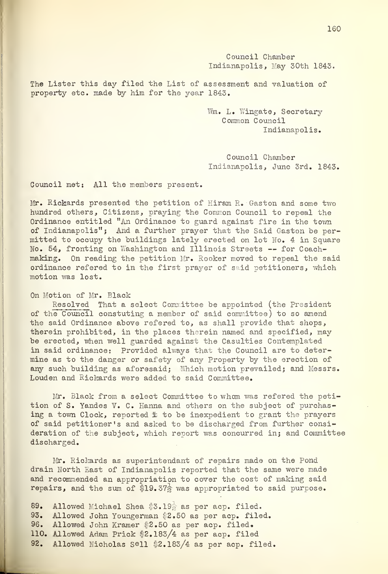Council Chamber Indianapolis, May 30th 1843.

The Lister this day filed the List of assessment and valuation of property etc. made by him for the year 1843.

> Wm. L. Wingate, Secretary Common Council Indianapolis.

Council Chamber Indianapolis, June 3rd. 1843.

Council met: All the members present.

Mr. Rickards presented the petition of Hiram R. Gaston and some two hundred others, Citizens, praying the Common Council to repeal the Ordinance entitled "An Ordinance to guard against fire in the town of Indianapolis"; And a further prayer that the Said Gaston be permitted to occupy the buildings lately erected on lot No. 4 in Square No. 54, fronting on Washington and Illinois Streets — for Coachmaking. On reading the petition Mr. Rooker moved to repeal the said ordinance refered to in the first prayer of said petitioners, which motion was lost.

## On Motion of Mr. Black

Resolved That a select Committee be appointed (the President of the Council constuting a member of said committee) to so amend the said Ordinance above refered to, as shall provide that shops, therein prohibited, in the places therein named and specified, may be erected, when well guarded against the Casulties Contemplated in said ordinance: Provided always that the Council are to determine as to the danger or safety of any Property by the erection of any such building as aforesaid; Which motion prevailed; and Messrs. Louden and Rickards were added to said Committee.

Mr. Black from a select Committee to whom was refered the petition of S. Yandes V. C. Hanna and others on the subject of purchasing a town Clock, reported  $\ddot{x}$  to be inexpedient to grant the prayers of said petitioner's and asked to be discharged from further consideration of the subject, which report was concurred in; and Committee discharged.

Mr. Richards as superintendant of repairs made on the Pond drain North Last of Indianapolis reported that the same were made and recommended an appropriation to cover the cost of making said repairs, and the sum of \$19.37 $\frac{1}{2}$  was appropriated to said purpose.

89. Allowed Michael Shea \$3.19<sup>1</sup> as per acp. filed. 93. Allowed John Youngerman \$2.50 as per acp. filed. 96. Allowed John Kramer \$2.50 as per acp. filed. 110. Allowed Adam Prick \$2.183/4 as per acp. filed 92. Allowed Nicholas Sell \$2. 183/4 as per acp. filed.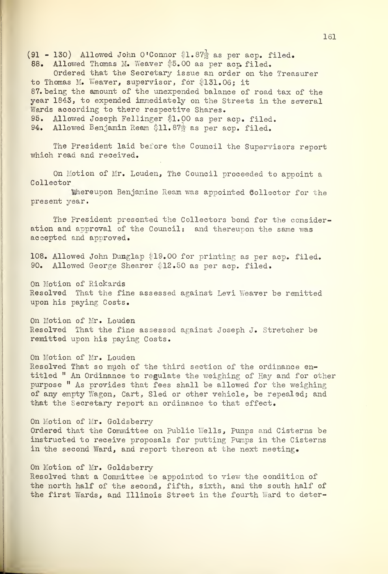(91 - 130) Allowed John O'Connor \$1.87 $\frac{1}{2}$  as per acp. filed. 88. Allowed Thomas M. Weaver \$5.00 as per acp filed. Ordered that the Secretary issue an order on the Treasurer to Thomas M. Weaver, supervisor, for \$131.06; it 87. being the amount of the unexpended balance of road tax of the year 1843, to expended immediately on the Streets in the several Wards according to there respective Shares. 95. Allowed Joseph Fellinger \$1.00 as per acp. filed. 94. Allowed Benjamin Ream \$11.87 $\frac{1}{2}$  as per acp. filed.

The President laid before the Council the Supervisors report which read and received.

On Motion of Mr. Louden, The Council proceeded to appoint a Collector

hereupon Benjamine Ream was appointed Sollector for the present year.

The President presented the Collectors bond for the consideration and approval of the Council: and thereupon the same was accepted and approved.

108. Allowed John Dunglap \$19.00 for printing as per acp. filed. 90. Allowed George Shearer \$12.50 as per acp. filed.

On Motion of Rickards Resolved That the fine assessed against Levi Weaver be remitted upon his paying Costs.

On Motion of Mr. Louden Resolved That the fine assessed against Joseph J. Stretcher be remitted upon his paying Costs.

On Motion of Mr. Louden

Resolved That so much of the third section of the ordinance entitled " An Ordinance to regulate the weighing of Hay and for other purpose " As provides that fees shall be allowed for the weighing of any empty Wagon, Cart, Sled or other vehicle, be repealed; and that the Secretary report an ordinance to that effect.

On Motion of Mr. Goldsberry Ordered that the Committee on Public Wells, Punps and Cisterns be instructed to receive proposals for putting Pumps in the Cisterns in the second Ward, and report thereon at the next meeting.

## On Motion of Mr. Goldsberry

Resolved that a Committee be appointed to view the condition of the north half of the second, fifth, sixth, and the south half of the first Wards, and Illinois Street in the fourth Ward to deter